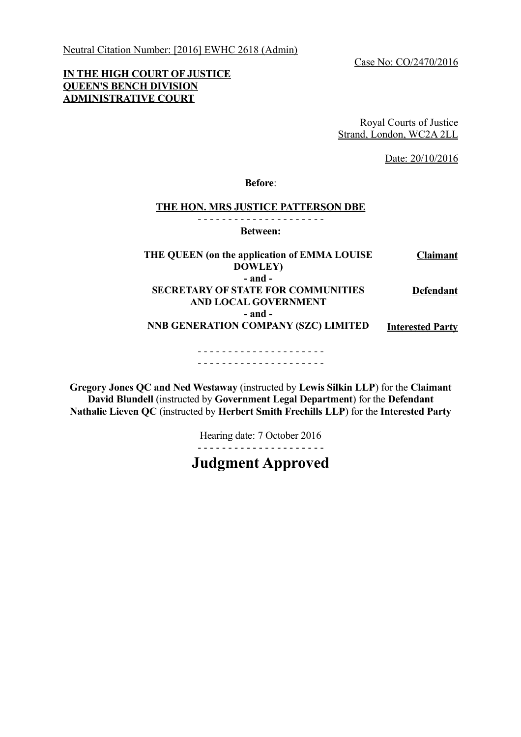Neutral Citation Number: [2016] EWHC 2618 (Admin)

Case No: CO/2470/2016

# **IN THE HIGH COURT OF JUSTICE QUEEN'S BENCH DIVISION ADMINISTRATIVE COURT**

Royal Courts of Justice Strand, London, WC2A 2LL

Date: 20/10/2016

**Before**:

#### **THE HON. MRS JUSTICE PATTERSON DBE**

- - - - - - - - - - - - - - - - - - - - -

**Between:**

**THE QUEEN (on the application of EMMA LOUISE DOWLEY) Claimant - and - SECRETARY OF STATE FOR COMMUNITIES AND LOCAL GOVERNMENT - and - NNB GENERATION COMPANY (SZC) LIMITED Defendant Interested Party**  - - - - - - - - - - - - - - - - - - - - -

- - - - - - - - - - - - - - - - - - - - -

**Gregory Jones QC and Ned Westaway** (instructed by **Lewis Silkin LLP**) for the **Claimant David Blundell** (instructed by **Government Legal Department**) for the **Defendant Nathalie Lieven QC** (instructed by **Herbert Smith Freehills LLP**) for the **Interested Party**

> Hearing date: 7 October 2016 - - - - - - - - - - - - - - - - - - - - -

**Judgment Approved**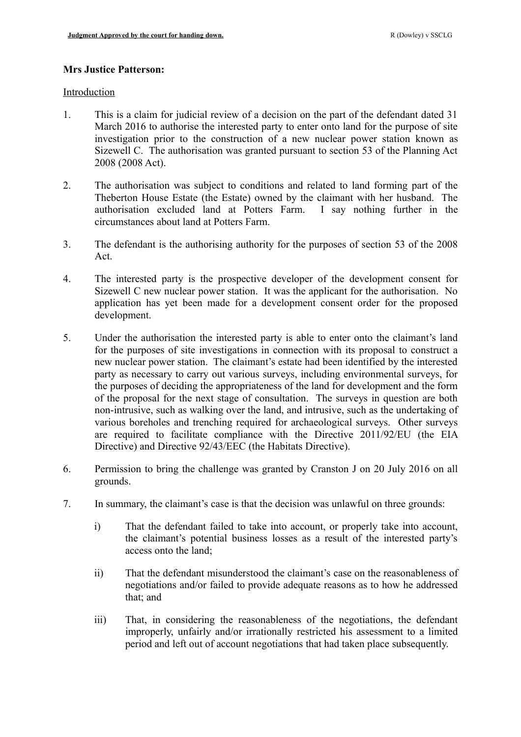## **Mrs Justice Patterson:**

#### Introduction

- 1. This is a claim for judicial review of a decision on the part of the defendant dated 31 March 2016 to authorise the interested party to enter onto land for the purpose of site investigation prior to the construction of a new nuclear power station known as Sizewell C. The authorisation was granted pursuant to section 53 of the Planning Act 2008 (2008 Act).
- 2. The authorisation was subject to conditions and related to land forming part of the Theberton House Estate (the Estate) owned by the claimant with her husband. The authorisation excluded land at Potters Farm. I say nothing further in the circumstances about land at Potters Farm.
- 3. The defendant is the authorising authority for the purposes of section 53 of the 2008 Act.
- 4. The interested party is the prospective developer of the development consent for Sizewell C new nuclear power station. It was the applicant for the authorisation. No application has yet been made for a development consent order for the proposed development.
- 5. Under the authorisation the interested party is able to enter onto the claimant's land for the purposes of site investigations in connection with its proposal to construct a new nuclear power station. The claimant's estate had been identified by the interested party as necessary to carry out various surveys, including environmental surveys, for the purposes of deciding the appropriateness of the land for development and the form of the proposal for the next stage of consultation. The surveys in question are both non-intrusive, such as walking over the land, and intrusive, such as the undertaking of various boreholes and trenching required for archaeological surveys. Other surveys are required to facilitate compliance with the Directive 2011/92/EU (the EIA Directive) and Directive 92/43/EEC (the Habitats Directive).
- 6. Permission to bring the challenge was granted by Cranston J on 20 July 2016 on all grounds.
- 7. In summary, the claimant's case is that the decision was unlawful on three grounds:
	- i) That the defendant failed to take into account, or properly take into account, the claimant's potential business losses as a result of the interested party's access onto the land;
	- ii) That the defendant misunderstood the claimant's case on the reasonableness of negotiations and/or failed to provide adequate reasons as to how he addressed that; and
	- iii) That, in considering the reasonableness of the negotiations, the defendant improperly, unfairly and/or irrationally restricted his assessment to a limited period and left out of account negotiations that had taken place subsequently.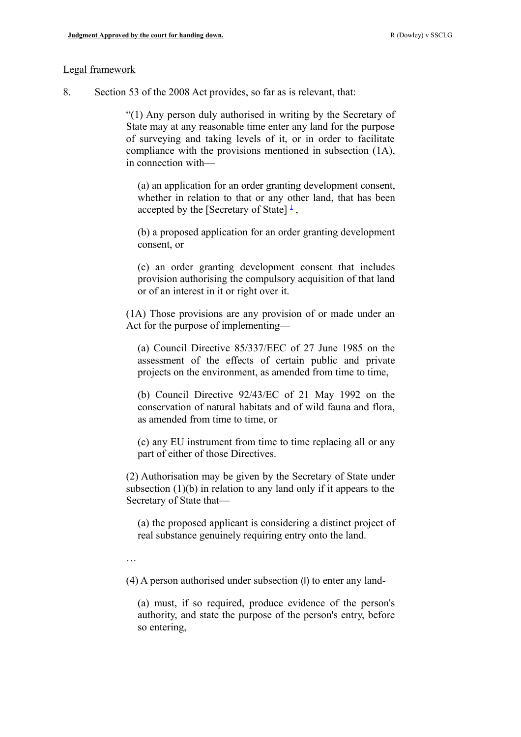#### Legal framework

8. Section 53 of the 2008 Act provides, so far as is relevant, that:

"(1) Any person duly authorised in writing by the Secretary of State may at any reasonable time enter any land for the purpose of surveying and taking levels of it, or in order to facilitate compliance with the provisions mentioned in subsection (1A), in connection with—

(a) an application for an order granting development consent, whether in relation to that or any other land, that has been accepted by the [Secretary of State]  $\frac{1}{2}$  $\frac{1}{2}$  $\frac{1}{2}$ ,

(b) a proposed application for an order granting development consent, or

(c) an order granting development consent that includes provision authorising the compulsory acquisition of that land or of an interest in it or right over it.

(1A) Those provisions are any provision of or made under an Act for the purpose of implementing—

(a) Council Directive 85/337/EEC of 27 June 1985 on the assessment of the effects of certain public and private projects on the environment, as amended from time to time,

(b) Council Directive 92/43/EC of 21 May 1992 on the conservation of natural habitats and of wild fauna and flora, as amended from time to time, or

(c) any EU instrument from time to time replacing all or any part of either of those Directives.

(2) Authorisation may be given by the Secretary of State under subsection (1)(b) in relation to any land only if it appears to the Secretary of State that—

(a) the proposed applicant is considering a distinct project of real substance genuinely requiring entry onto the land.

…

(4) A person authorised under subsection (I) to enter any land-

(a) must, if so required, produce evidence of the person's authority, and state the purpose of the person's entry, before so entering,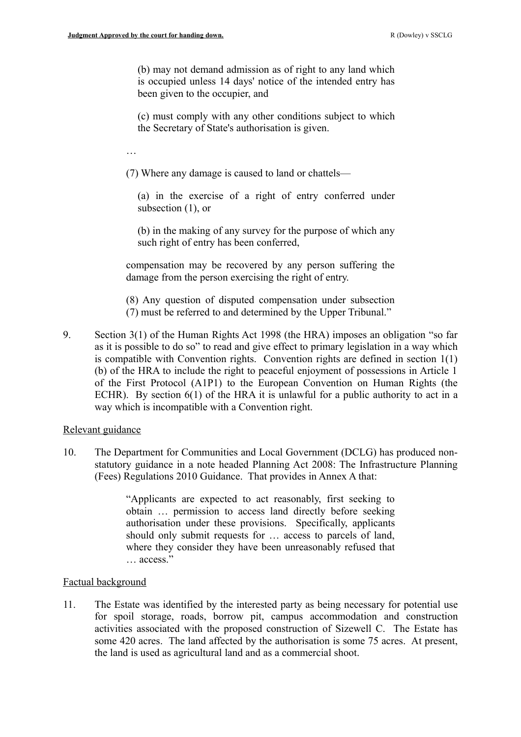(b) may not demand admission as of right to any land which is occupied unless 14 days' notice of the intended entry has been given to the occupier, and

(c) must comply with any other conditions subject to which the Secretary of State's authorisation is given.

…

(7) Where any damage is caused to land or chattels—

(a) in the exercise of a right of entry conferred under subsection  $(1)$ , or

(b) in the making of any survey for the purpose of which any such right of entry has been conferred,

compensation may be recovered by any person suffering the damage from the person exercising the right of entry.

(8) Any question of disputed compensation under subsection (7) must be referred to and determined by the Upper Tribunal."

9. Section 3(1) of the Human Rights Act 1998 (the HRA) imposes an obligation "so far as it is possible to do so" to read and give effect to primary legislation in a way which is compatible with Convention rights. Convention rights are defined in section 1(1) (b) of the HRA to include the right to peaceful enjoyment of possessions in Article 1 of the First Protocol (A1P1) to the European Convention on Human Rights (the ECHR). By section 6(1) of the HRA it is unlawful for a public authority to act in a way which is incompatible with a Convention right.

#### Relevant guidance

10. The Department for Communities and Local Government (DCLG) has produced nonstatutory guidance in a note headed Planning Act 2008: The Infrastructure Planning (Fees) Regulations 2010 Guidance. That provides in Annex A that:

> "Applicants are expected to act reasonably, first seeking to obtain … permission to access land directly before seeking authorisation under these provisions. Specifically, applicants should only submit requests for … access to parcels of land, where they consider they have been unreasonably refused that … access."

## Factual background

11. The Estate was identified by the interested party as being necessary for potential use for spoil storage, roads, borrow pit, campus accommodation and construction activities associated with the proposed construction of Sizewell C. The Estate has some 420 acres. The land affected by the authorisation is some 75 acres. At present, the land is used as agricultural land and as a commercial shoot.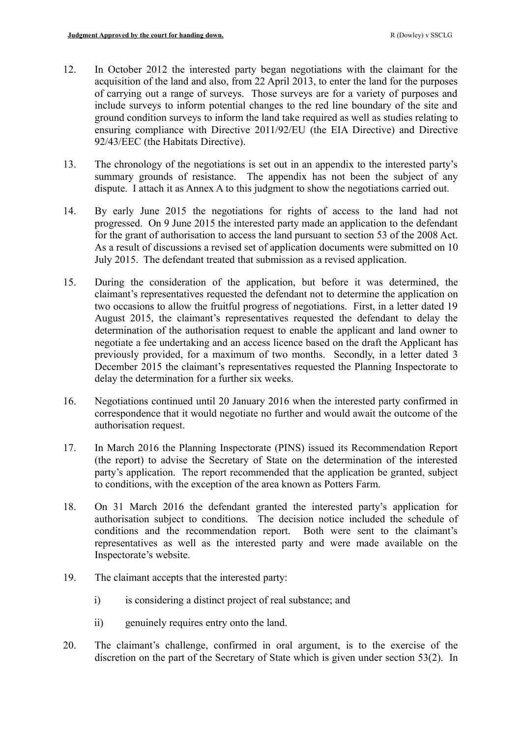- 12. In October 2012 the interested party began negotiations with the claimant for the acquisition of the land and also, from 22 April 2013, to enter the land for the purposes of carrying out a range of surveys. Those surveys are for a variety of purposes and include surveys to inform potential changes to the red line boundary of the site and ground condition surveys to inform the land take required as well as studies relating to ensuring compliance with Directive 2011/92/EU (the EIA Directive) and Directive 92/43/EEC (the Habitats Directive).
- 13. The chronology of the negotiations is set out in an appendix to the interested party's summary grounds of resistance. The appendix has not been the subject of any dispute. I attach it as Annex A to this judgment to show the negotiations carried out.
- 14. By early June 2015 the negotiations for rights of access to the land had not progressed. On 9 June 2015 the interested party made an application to the defendant for the grant of authorisation to access the land pursuant to section 53 of the 2008 Act. As a result of discussions a revised set of application documents were submitted on 10 July 2015. The defendant treated that submission as a revised application.
- 15. During the consideration of the application, but before it was determined, the claimant's representatives requested the defendant not to determine the application on two occasions to allow the fruitful progress of negotiations. First, in a letter dated 19 August 2015, the claimant's representatives requested the defendant to delay the determination of the authorisation request to enable the applicant and land owner to negotiate a fee undertaking and an access licence based on the draft the Applicant has previously provided, for a maximum of two months. Secondly, in a letter dated 3 December 2015 the claimant's representatives requested the Planning Inspectorate to delay the determination for a further six weeks.
- 16. Negotiations continued until 20 January 2016 when the interested party confirmed in correspondence that it would negotiate no further and would await the outcome of the authorisation request.
- 17. In March 2016 the Planning Inspectorate (PINS) issued its Recommendation Report (the report) to advise the Secretary of State on the determination of the interested party's application. The report recommended that the application be granted, subject to conditions, with the exception of the area known as Potters Farm.
- 18. On 31 March 2016 the defendant granted the interested party's application for authorisation subject to conditions. The decision notice included the schedule of conditions and the recommendation report. Both were sent to the claimant's representatives as well as the interested party and were made available on the Inspectorate's website.
- 19. The claimant accepts that the interested party:
	- i) is considering a distinct project of real substance; and
	- ii) genuinely requires entry onto the land.
- 20. The claimant's challenge, confirmed in oral argument, is to the exercise of the discretion on the part of the Secretary of State which is given under section 53(2). In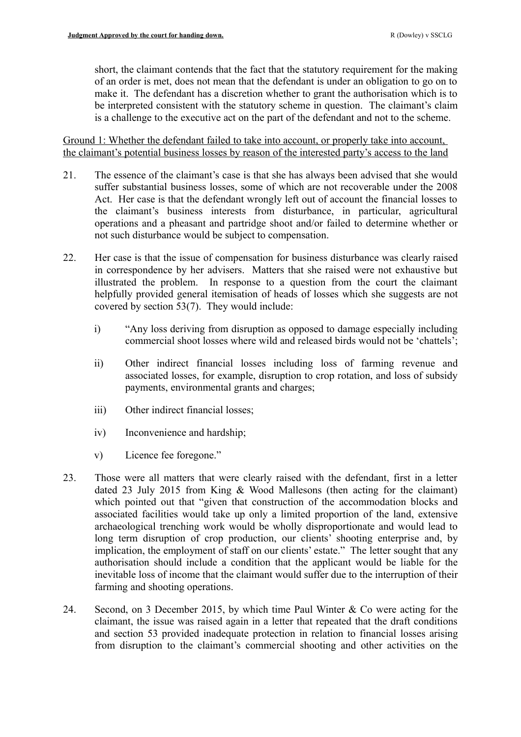short, the claimant contends that the fact that the statutory requirement for the making of an order is met, does not mean that the defendant is under an obligation to go on to make it. The defendant has a discretion whether to grant the authorisation which is to be interpreted consistent with the statutory scheme in question. The claimant's claim is a challenge to the executive act on the part of the defendant and not to the scheme.

Ground 1: Whether the defendant failed to take into account, or properly take into account, the claimant's potential business losses by reason of the interested party's access to the land

- 21. The essence of the claimant's case is that she has always been advised that she would suffer substantial business losses, some of which are not recoverable under the 2008 Act. Her case is that the defendant wrongly left out of account the financial losses to the claimant's business interests from disturbance, in particular, agricultural operations and a pheasant and partridge shoot and/or failed to determine whether or not such disturbance would be subject to compensation.
- 22. Her case is that the issue of compensation for business disturbance was clearly raised in correspondence by her advisers. Matters that she raised were not exhaustive but illustrated the problem. In response to a question from the court the claimant helpfully provided general itemisation of heads of losses which she suggests are not covered by section 53(7). They would include:
	- i) "Any loss deriving from disruption as opposed to damage especially including commercial shoot losses where wild and released birds would not be 'chattels';
	- ii) Other indirect financial losses including loss of farming revenue and associated losses, for example, disruption to crop rotation, and loss of subsidy payments, environmental grants and charges;
	- iii) Other indirect financial losses;
	- iv) Inconvenience and hardship;
	- v) Licence fee foregone."
- 23. Those were all matters that were clearly raised with the defendant, first in a letter dated 23 July 2015 from King & Wood Mallesons (then acting for the claimant) which pointed out that "given that construction of the accommodation blocks and associated facilities would take up only a limited proportion of the land, extensive archaeological trenching work would be wholly disproportionate and would lead to long term disruption of crop production, our clients' shooting enterprise and, by implication, the employment of staff on our clients' estate." The letter sought that any authorisation should include a condition that the applicant would be liable for the inevitable loss of income that the claimant would suffer due to the interruption of their farming and shooting operations.
- 24. Second, on 3 December 2015, by which time Paul Winter & Co were acting for the claimant, the issue was raised again in a letter that repeated that the draft conditions and section 53 provided inadequate protection in relation to financial losses arising from disruption to the claimant's commercial shooting and other activities on the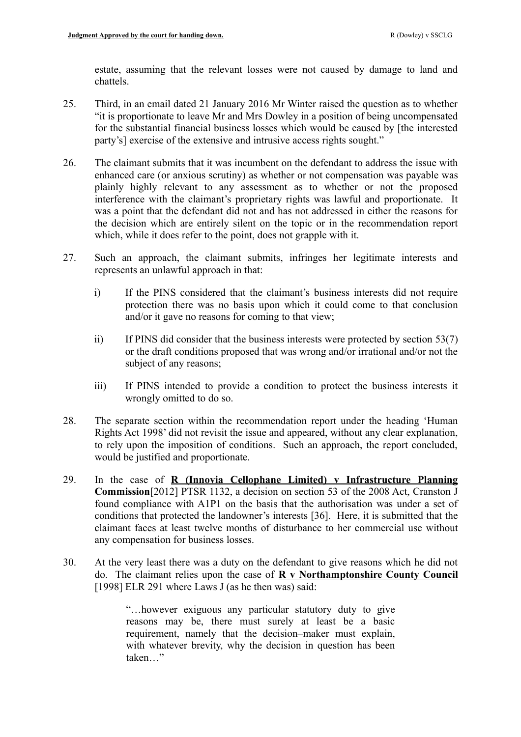estate, assuming that the relevant losses were not caused by damage to land and chattels.

- 25. Third, in an email dated 21 January 2016 Mr Winter raised the question as to whether "it is proportionate to leave Mr and Mrs Dowley in a position of being uncompensated for the substantial financial business losses which would be caused by [the interested party's] exercise of the extensive and intrusive access rights sought."
- 26. The claimant submits that it was incumbent on the defendant to address the issue with enhanced care (or anxious scrutiny) as whether or not compensation was payable was plainly highly relevant to any assessment as to whether or not the proposed interference with the claimant's proprietary rights was lawful and proportionate. It was a point that the defendant did not and has not addressed in either the reasons for the decision which are entirely silent on the topic or in the recommendation report which, while it does refer to the point, does not grapple with it.
- 27. Such an approach, the claimant submits, infringes her legitimate interests and represents an unlawful approach in that:
	- i) If the PINS considered that the claimant's business interests did not require protection there was no basis upon which it could come to that conclusion and/or it gave no reasons for coming to that view;
	- ii) If PINS did consider that the business interests were protected by section 53(7) or the draft conditions proposed that was wrong and/or irrational and/or not the subject of any reasons;
	- iii) If PINS intended to provide a condition to protect the business interests it wrongly omitted to do so.
- 28. The separate section within the recommendation report under the heading 'Human Rights Act 1998' did not revisit the issue and appeared, without any clear explanation, to rely upon the imposition of conditions. Such an approach, the report concluded, would be justified and proportionate.
- 29. In the case of **R (Innovia Cellophane Limited) v Infrastructure Planning Commission**[2012] PTSR 1132, a decision on section 53 of the 2008 Act, Cranston J found compliance with A1P1 on the basis that the authorisation was under a set of conditions that protected the landowner's interests [36]. Here, it is submitted that the claimant faces at least twelve months of disturbance to her commercial use without any compensation for business losses.
- 30. At the very least there was a duty on the defendant to give reasons which he did not do. The claimant relies upon the case of **R v Northamptonshire County Council** [1998] ELR 291 where Laws J (as he then was) said:

"…however exiguous any particular statutory duty to give reasons may be, there must surely at least be a basic requirement, namely that the decision–maker must explain, with whatever brevity, why the decision in question has been taken "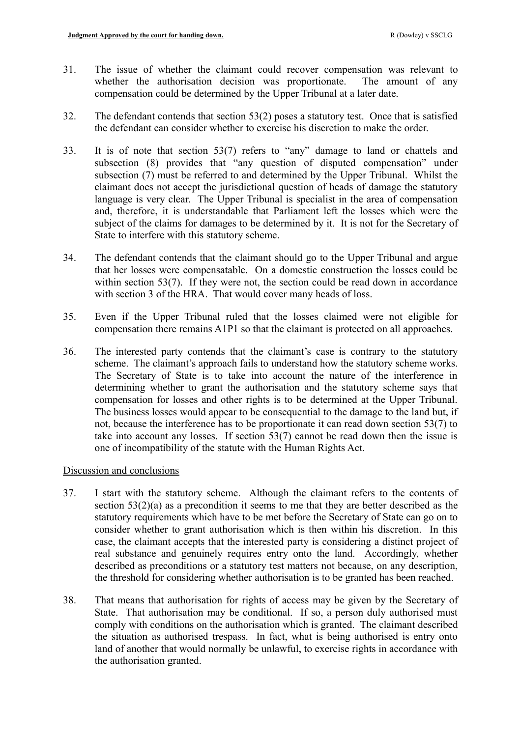- 31. The issue of whether the claimant could recover compensation was relevant to whether the authorisation decision was proportionate. The amount of any compensation could be determined by the Upper Tribunal at a later date.
- 32. The defendant contends that section 53(2) poses a statutory test. Once that is satisfied the defendant can consider whether to exercise his discretion to make the order.
- 33. It is of note that section 53(7) refers to "any" damage to land or chattels and subsection (8) provides that "any question of disputed compensation" under subsection (7) must be referred to and determined by the Upper Tribunal. Whilst the claimant does not accept the jurisdictional question of heads of damage the statutory language is very clear. The Upper Tribunal is specialist in the area of compensation and, therefore, it is understandable that Parliament left the losses which were the subject of the claims for damages to be determined by it. It is not for the Secretary of State to interfere with this statutory scheme.
- 34. The defendant contends that the claimant should go to the Upper Tribunal and argue that her losses were compensatable. On a domestic construction the losses could be within section 53(7). If they were not, the section could be read down in accordance with section 3 of the HRA. That would cover many heads of loss.
- 35. Even if the Upper Tribunal ruled that the losses claimed were not eligible for compensation there remains A1P1 so that the claimant is protected on all approaches.
- 36. The interested party contends that the claimant's case is contrary to the statutory scheme. The claimant's approach fails to understand how the statutory scheme works. The Secretary of State is to take into account the nature of the interference in determining whether to grant the authorisation and the statutory scheme says that compensation for losses and other rights is to be determined at the Upper Tribunal. The business losses would appear to be consequential to the damage to the land but, if not, because the interference has to be proportionate it can read down section 53(7) to take into account any losses. If section 53(7) cannot be read down then the issue is one of incompatibility of the statute with the Human Rights Act.

# Discussion and conclusions

- 37. I start with the statutory scheme. Although the claimant refers to the contents of section 53(2)(a) as a precondition it seems to me that they are better described as the statutory requirements which have to be met before the Secretary of State can go on to consider whether to grant authorisation which is then within his discretion. In this case, the claimant accepts that the interested party is considering a distinct project of real substance and genuinely requires entry onto the land. Accordingly, whether described as preconditions or a statutory test matters not because, on any description, the threshold for considering whether authorisation is to be granted has been reached.
- 38. That means that authorisation for rights of access may be given by the Secretary of State. That authorisation may be conditional. If so, a person duly authorised must comply with conditions on the authorisation which is granted. The claimant described the situation as authorised trespass. In fact, what is being authorised is entry onto land of another that would normally be unlawful, to exercise rights in accordance with the authorisation granted.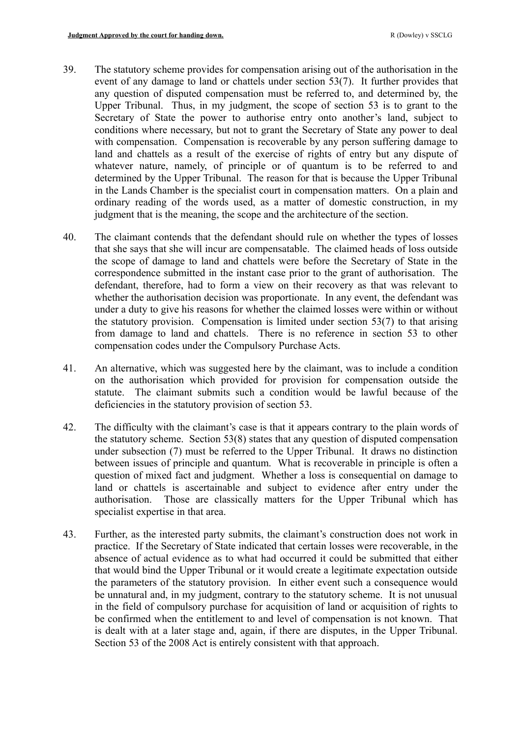- 39. The statutory scheme provides for compensation arising out of the authorisation in the event of any damage to land or chattels under section 53(7). It further provides that any question of disputed compensation must be referred to, and determined by, the Upper Tribunal. Thus, in my judgment, the scope of section 53 is to grant to the Secretary of State the power to authorise entry onto another's land, subject to conditions where necessary, but not to grant the Secretary of State any power to deal with compensation. Compensation is recoverable by any person suffering damage to land and chattels as a result of the exercise of rights of entry but any dispute of whatever nature, namely, of principle or of quantum is to be referred to and determined by the Upper Tribunal. The reason for that is because the Upper Tribunal in the Lands Chamber is the specialist court in compensation matters. On a plain and ordinary reading of the words used, as a matter of domestic construction, in my judgment that is the meaning, the scope and the architecture of the section.
- 40. The claimant contends that the defendant should rule on whether the types of losses that she says that she will incur are compensatable. The claimed heads of loss outside the scope of damage to land and chattels were before the Secretary of State in the correspondence submitted in the instant case prior to the grant of authorisation. The defendant, therefore, had to form a view on their recovery as that was relevant to whether the authorisation decision was proportionate. In any event, the defendant was under a duty to give his reasons for whether the claimed losses were within or without the statutory provision. Compensation is limited under section 53(7) to that arising from damage to land and chattels. There is no reference in section 53 to other compensation codes under the Compulsory Purchase Acts.
- 41. An alternative, which was suggested here by the claimant, was to include a condition on the authorisation which provided for provision for compensation outside the statute. The claimant submits such a condition would be lawful because of the deficiencies in the statutory provision of section 53.
- 42. The difficulty with the claimant's case is that it appears contrary to the plain words of the statutory scheme. Section 53(8) states that any question of disputed compensation under subsection (7) must be referred to the Upper Tribunal. It draws no distinction between issues of principle and quantum. What is recoverable in principle is often a question of mixed fact and judgment. Whether a loss is consequential on damage to land or chattels is ascertainable and subject to evidence after entry under the authorisation. Those are classically matters for the Upper Tribunal which has specialist expertise in that area.
- 43. Further, as the interested party submits, the claimant's construction does not work in practice. If the Secretary of State indicated that certain losses were recoverable, in the absence of actual evidence as to what had occurred it could be submitted that either that would bind the Upper Tribunal or it would create a legitimate expectation outside the parameters of the statutory provision. In either event such a consequence would be unnatural and, in my judgment, contrary to the statutory scheme. It is not unusual in the field of compulsory purchase for acquisition of land or acquisition of rights to be confirmed when the entitlement to and level of compensation is not known. That is dealt with at a later stage and, again, if there are disputes, in the Upper Tribunal. Section 53 of the 2008 Act is entirely consistent with that approach.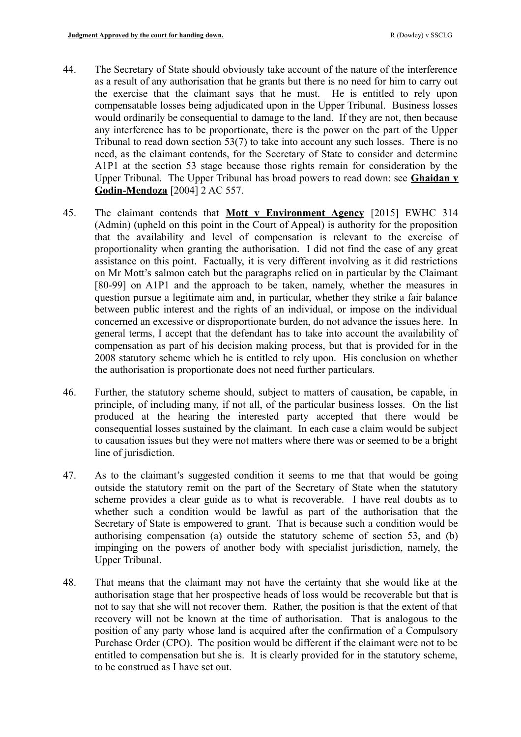- 44. The Secretary of State should obviously take account of the nature of the interference as a result of any authorisation that he grants but there is no need for him to carry out the exercise that the claimant says that he must. He is entitled to rely upon compensatable losses being adjudicated upon in the Upper Tribunal. Business losses would ordinarily be consequential to damage to the land. If they are not, then because any interference has to be proportionate, there is the power on the part of the Upper Tribunal to read down section 53(7) to take into account any such losses. There is no need, as the claimant contends, for the Secretary of State to consider and determine A1P1 at the section 53 stage because those rights remain for consideration by the Upper Tribunal. The Upper Tribunal has broad powers to read down: see **Ghaidan v Godin-Mendoza** [2004] 2 AC 557.
- 45. The claimant contends that **Mott v Environment Agency** [2015] EWHC 314 (Admin) (upheld on this point in the Court of Appeal) is authority for the proposition that the availability and level of compensation is relevant to the exercise of proportionality when granting the authorisation. I did not find the case of any great assistance on this point. Factually, it is very different involving as it did restrictions on Mr Mott's salmon catch but the paragraphs relied on in particular by the Claimant [80-99] on A1P1 and the approach to be taken, namely, whether the measures in question pursue a legitimate aim and, in particular, whether they strike a fair balance between public interest and the rights of an individual, or impose on the individual concerned an excessive or disproportionate burden, do not advance the issues here. In general terms, I accept that the defendant has to take into account the availability of compensation as part of his decision making process, but that is provided for in the 2008 statutory scheme which he is entitled to rely upon. His conclusion on whether the authorisation is proportionate does not need further particulars.
- 46. Further, the statutory scheme should, subject to matters of causation, be capable, in principle, of including many, if not all, of the particular business losses. On the list produced at the hearing the interested party accepted that there would be consequential losses sustained by the claimant. In each case a claim would be subject to causation issues but they were not matters where there was or seemed to be a bright line of jurisdiction.
- 47. As to the claimant's suggested condition it seems to me that that would be going outside the statutory remit on the part of the Secretary of State when the statutory scheme provides a clear guide as to what is recoverable. I have real doubts as to whether such a condition would be lawful as part of the authorisation that the Secretary of State is empowered to grant. That is because such a condition would be authorising compensation (a) outside the statutory scheme of section 53, and (b) impinging on the powers of another body with specialist jurisdiction, namely, the Upper Tribunal.
- 48. That means that the claimant may not have the certainty that she would like at the authorisation stage that her prospective heads of loss would be recoverable but that is not to say that she will not recover them. Rather, the position is that the extent of that recovery will not be known at the time of authorisation. That is analogous to the position of any party whose land is acquired after the confirmation of a Compulsory Purchase Order (CPO). The position would be different if the claimant were not to be entitled to compensation but she is. It is clearly provided for in the statutory scheme, to be construed as I have set out.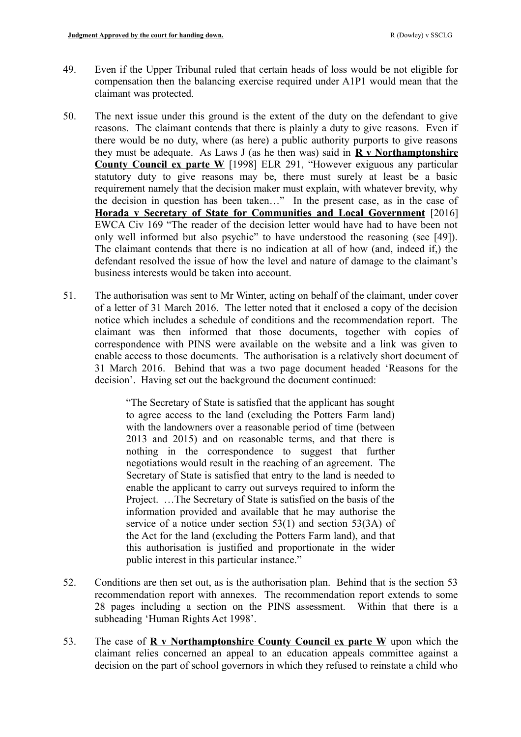- 49. Even if the Upper Tribunal ruled that certain heads of loss would be not eligible for compensation then the balancing exercise required under A1P1 would mean that the claimant was protected.
- 50. The next issue under this ground is the extent of the duty on the defendant to give reasons. The claimant contends that there is plainly a duty to give reasons. Even if there would be no duty, where (as here) a public authority purports to give reasons they must be adequate. As Laws J (as he then was) said in **R v Northamptonshire County Council ex parte W** [1998] ELR 291, "However exiguous any particular statutory duty to give reasons may be, there must surely at least be a basic requirement namely that the decision maker must explain, with whatever brevity, why the decision in question has been taken…" In the present case, as in the case of **Horada v Secretary of State for Communities and Local Government** [2016] EWCA Civ 169 "The reader of the decision letter would have had to have been not only well informed but also psychic" to have understood the reasoning (see [49]). The claimant contends that there is no indication at all of how (and, indeed if,) the defendant resolved the issue of how the level and nature of damage to the claimant's business interests would be taken into account.
- 51. The authorisation was sent to Mr Winter, acting on behalf of the claimant, under cover of a letter of 31 March 2016. The letter noted that it enclosed a copy of the decision notice which includes a schedule of conditions and the recommendation report. The claimant was then informed that those documents, together with copies of correspondence with PINS were available on the website and a link was given to enable access to those documents. The authorisation is a relatively short document of 31 March 2016. Behind that was a two page document headed 'Reasons for the decision'. Having set out the background the document continued:

"The Secretary of State is satisfied that the applicant has sought to agree access to the land (excluding the Potters Farm land) with the landowners over a reasonable period of time (between) 2013 and 2015) and on reasonable terms, and that there is nothing in the correspondence to suggest that further negotiations would result in the reaching of an agreement. The Secretary of State is satisfied that entry to the land is needed to enable the applicant to carry out surveys required to inform the Project. …The Secretary of State is satisfied on the basis of the information provided and available that he may authorise the service of a notice under section 53(1) and section 53(3A) of the Act for the land (excluding the Potters Farm land), and that this authorisation is justified and proportionate in the wider public interest in this particular instance."

- 52. Conditions are then set out, as is the authorisation plan. Behind that is the section 53 recommendation report with annexes. The recommendation report extends to some 28 pages including a section on the PINS assessment. Within that there is a subheading 'Human Rights Act 1998'.
- 53. The case of **R v Northamptonshire County Council ex parte W** upon which the claimant relies concerned an appeal to an education appeals committee against a decision on the part of school governors in which they refused to reinstate a child who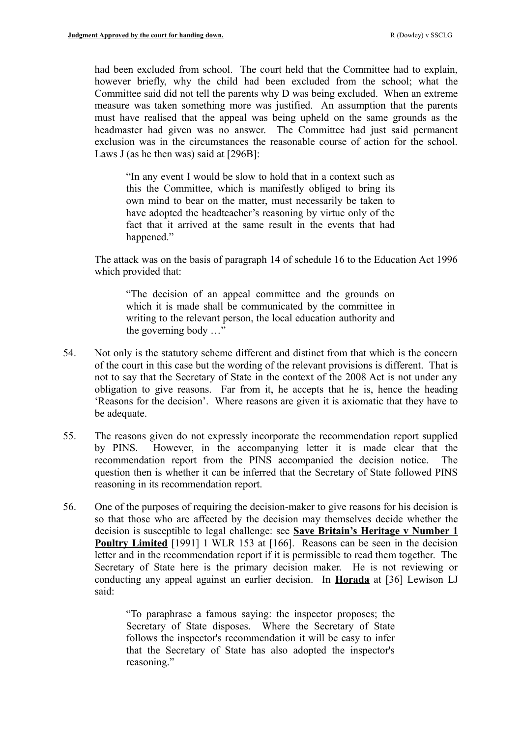had been excluded from school. The court held that the Committee had to explain, however briefly, why the child had been excluded from the school; what the Committee said did not tell the parents why D was being excluded. When an extreme measure was taken something more was justified. An assumption that the parents must have realised that the appeal was being upheld on the same grounds as the headmaster had given was no answer. The Committee had just said permanent exclusion was in the circumstances the reasonable course of action for the school. Laws J (as he then was) said at [296B]:

"In any event I would be slow to hold that in a context such as this the Committee, which is manifestly obliged to bring its own mind to bear on the matter, must necessarily be taken to have adopted the headteacher's reasoning by virtue only of the fact that it arrived at the same result in the events that had happened."

The attack was on the basis of paragraph 14 of schedule 16 to the Education Act 1996 which provided that:

"The decision of an appeal committee and the grounds on which it is made shall be communicated by the committee in writing to the relevant person, the local education authority and the governing body …"

- 54. Not only is the statutory scheme different and distinct from that which is the concern of the court in this case but the wording of the relevant provisions is different. That is not to say that the Secretary of State in the context of the 2008 Act is not under any obligation to give reasons. Far from it, he accepts that he is, hence the heading 'Reasons for the decision'. Where reasons are given it is axiomatic that they have to be adequate.
- 55. The reasons given do not expressly incorporate the recommendation report supplied by PINS. However, in the accompanying letter it is made clear that the recommendation report from the PINS accompanied the decision notice. The question then is whether it can be inferred that the Secretary of State followed PINS reasoning in its recommendation report.
- 56. One of the purposes of requiring the decision-maker to give reasons for his decision is so that those who are affected by the decision may themselves decide whether the decision is susceptible to legal challenge: see **Save Britain's Heritage v Number 1 Poultry Limited** [1991] 1 WLR 153 at [166]. Reasons can be seen in the decision letter and in the recommendation report if it is permissible to read them together. The Secretary of State here is the primary decision maker. He is not reviewing or conducting any appeal against an earlier decision. In **Horada** at [36] Lewison LJ said:

"To paraphrase a famous saying: the inspector proposes; the Secretary of State disposes. Where the Secretary of State follows the inspector's recommendation it will be easy to infer that the Secretary of State has also adopted the inspector's reasoning."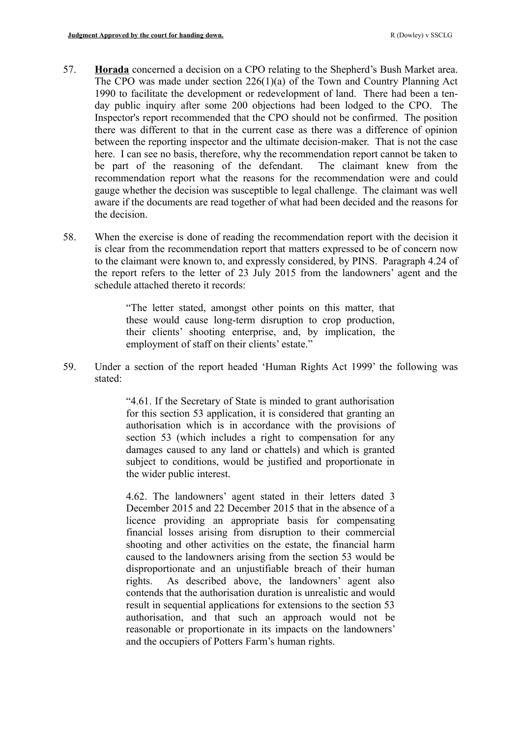- 57. **Horada** concerned a decision on a CPO relating to the Shepherd's Bush Market area. The CPO was made under section 226(1)(a) of the Town and Country Planning Act 1990 to facilitate the development or redevelopment of land. There had been a tenday public inquiry after some 200 objections had been lodged to the CPO. The Inspector's report recommended that the CPO should not be confirmed. The position there was different to that in the current case as there was a difference of opinion between the reporting inspector and the ultimate decision-maker. That is not the case here. I can see no basis, therefore, why the recommendation report cannot be taken to be part of the reasoning of the defendant. The claimant knew from the recommendation report what the reasons for the recommendation were and could gauge whether the decision was susceptible to legal challenge. The claimant was well aware if the documents are read together of what had been decided and the reasons for the decision.
- 58. When the exercise is done of reading the recommendation report with the decision it is clear from the recommendation report that matters expressed to be of concern now to the claimant were known to, and expressly considered, by PINS. Paragraph 4.24 of the report refers to the letter of 23 July 2015 from the landowners' agent and the schedule attached thereto it records:

"The letter stated, amongst other points on this matter, that these would cause long-term disruption to crop production, their clients' shooting enterprise, and, by implication, the employment of staff on their clients' estate."

59. Under a section of the report headed 'Human Rights Act 1999' the following was stated:

> "4.61. If the Secretary of State is minded to grant authorisation for this section 53 application, it is considered that granting an authorisation which is in accordance with the provisions of section 53 (which includes a right to compensation for any damages caused to any land or chattels) and which is granted subject to conditions, would be justified and proportionate in the wider public interest.

> 4.62. The landowners' agent stated in their letters dated 3 December 2015 and 22 December 2015 that in the absence of a licence providing an appropriate basis for compensating financial losses arising from disruption to their commercial shooting and other activities on the estate, the financial harm caused to the landowners arising from the section 53 would be disproportionate and an unjustifiable breach of their human rights. As described above, the landowners' agent also contends that the authorisation duration is unrealistic and would result in sequential applications for extensions to the section 53 authorisation, and that such an approach would not be reasonable or proportionate in its impacts on the landowners' and the occupiers of Potters Farm's human rights.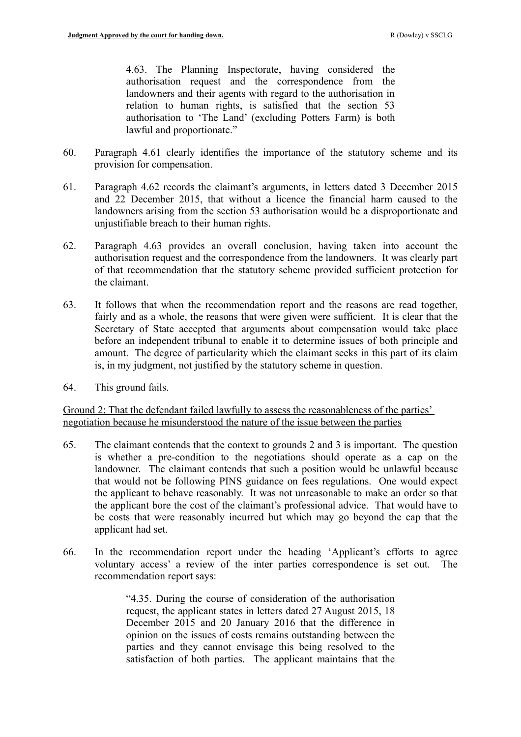4.63. The Planning Inspectorate, having considered the authorisation request and the correspondence from the landowners and their agents with regard to the authorisation in relation to human rights, is satisfied that the section 53 authorisation to 'The Land' (excluding Potters Farm) is both lawful and proportionate."

- 60. Paragraph 4.61 clearly identifies the importance of the statutory scheme and its provision for compensation.
- 61. Paragraph 4.62 records the claimant's arguments, in letters dated 3 December 2015 and 22 December 2015, that without a licence the financial harm caused to the landowners arising from the section 53 authorisation would be a disproportionate and unjustifiable breach to their human rights.
- 62. Paragraph 4.63 provides an overall conclusion, having taken into account the authorisation request and the correspondence from the landowners. It was clearly part of that recommendation that the statutory scheme provided sufficient protection for the claimant.
- 63. It follows that when the recommendation report and the reasons are read together, fairly and as a whole, the reasons that were given were sufficient. It is clear that the Secretary of State accepted that arguments about compensation would take place before an independent tribunal to enable it to determine issues of both principle and amount. The degree of particularity which the claimant seeks in this part of its claim is, in my judgment, not justified by the statutory scheme in question.
- 64. This ground fails.

Ground 2: That the defendant failed lawfully to assess the reasonableness of the parties' negotiation because he misunderstood the nature of the issue between the parties

- 65. The claimant contends that the context to grounds 2 and 3 is important. The question is whether a pre-condition to the negotiations should operate as a cap on the landowner. The claimant contends that such a position would be unlawful because that would not be following PINS guidance on fees regulations. One would expect the applicant to behave reasonably. It was not unreasonable to make an order so that the applicant bore the cost of the claimant's professional advice. That would have to be costs that were reasonably incurred but which may go beyond the cap that the applicant had set.
- 66. In the recommendation report under the heading 'Applicant's efforts to agree voluntary access' a review of the inter parties correspondence is set out. The recommendation report says:

"4.35. During the course of consideration of the authorisation request, the applicant states in letters dated 27 August 2015, 18 December 2015 and 20 January 2016 that the difference in opinion on the issues of costs remains outstanding between the parties and they cannot envisage this being resolved to the satisfaction of both parties. The applicant maintains that the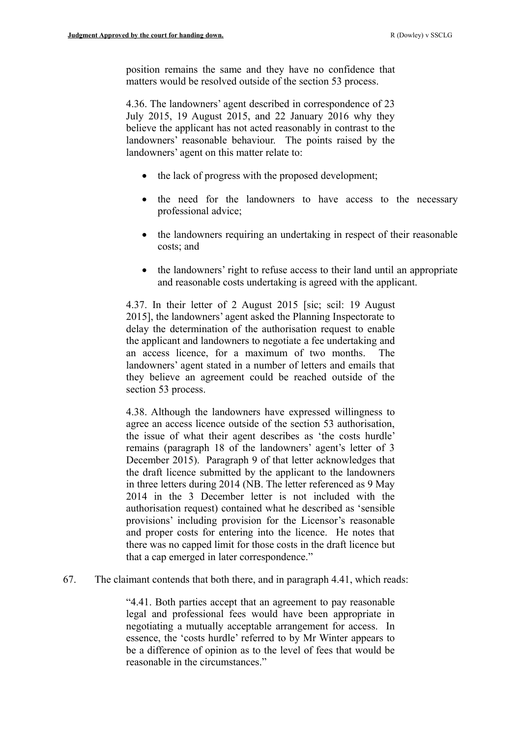position remains the same and they have no confidence that matters would be resolved outside of the section 53 process.

4.36. The landowners' agent described in correspondence of 23 July 2015, 19 August 2015, and 22 January 2016 why they believe the applicant has not acted reasonably in contrast to the landowners' reasonable behaviour. The points raised by the landowners' agent on this matter relate to:

- $\bullet$  the lack of progress with the proposed development;
- the need for the landowners to have access to the necessary professional advice;
- the landowners requiring an undertaking in respect of their reasonable costs; and
- the landowners' right to refuse access to their land until an appropriate and reasonable costs undertaking is agreed with the applicant.

4.37. In their letter of 2 August 2015 [sic; scil: 19 August 2015], the landowners' agent asked the Planning Inspectorate to delay the determination of the authorisation request to enable the applicant and landowners to negotiate a fee undertaking and an access licence, for a maximum of two months. The landowners' agent stated in a number of letters and emails that they believe an agreement could be reached outside of the section 53 process.

4.38. Although the landowners have expressed willingness to agree an access licence outside of the section 53 authorisation, the issue of what their agent describes as 'the costs hurdle' remains (paragraph 18 of the landowners' agent's letter of 3 December 2015). Paragraph 9 of that letter acknowledges that the draft licence submitted by the applicant to the landowners in three letters during 2014 (NB. The letter referenced as 9 May 2014 in the 3 December letter is not included with the authorisation request) contained what he described as 'sensible provisions' including provision for the Licensor's reasonable and proper costs for entering into the licence. He notes that there was no capped limit for those costs in the draft licence but that a cap emerged in later correspondence."

67. The claimant contends that both there, and in paragraph 4.41, which reads:

"4.41. Both parties accept that an agreement to pay reasonable legal and professional fees would have been appropriate in negotiating a mutually acceptable arrangement for access. In essence, the 'costs hurdle' referred to by Mr Winter appears to be a difference of opinion as to the level of fees that would be reasonable in the circumstances."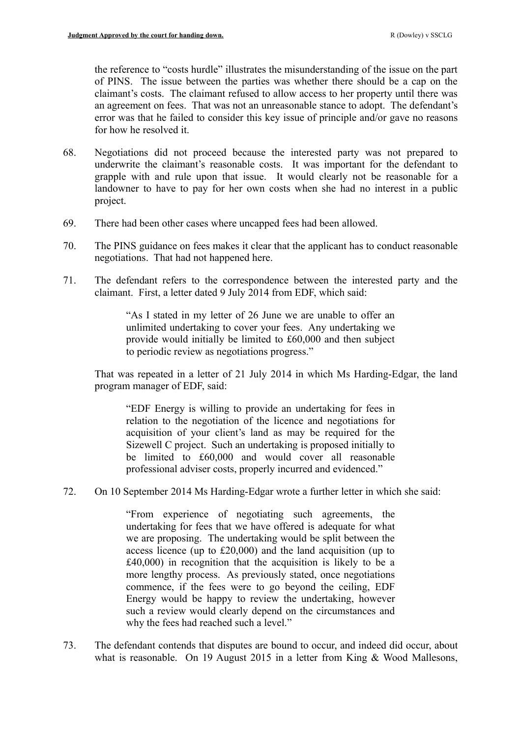the reference to "costs hurdle" illustrates the misunderstanding of the issue on the part of PINS. The issue between the parties was whether there should be a cap on the claimant's costs. The claimant refused to allow access to her property until there was an agreement on fees. That was not an unreasonable stance to adopt. The defendant's error was that he failed to consider this key issue of principle and/or gave no reasons for how he resolved it.

- 68. Negotiations did not proceed because the interested party was not prepared to underwrite the claimant's reasonable costs. It was important for the defendant to grapple with and rule upon that issue. It would clearly not be reasonable for a landowner to have to pay for her own costs when she had no interest in a public project.
- 69. There had been other cases where uncapped fees had been allowed.
- 70. The PINS guidance on fees makes it clear that the applicant has to conduct reasonable negotiations. That had not happened here.
- 71. The defendant refers to the correspondence between the interested party and the claimant. First, a letter dated 9 July 2014 from EDF, which said:

"As I stated in my letter of 26 June we are unable to offer an unlimited undertaking to cover your fees. Any undertaking we provide would initially be limited to £60,000 and then subject to periodic review as negotiations progress."

That was repeated in a letter of 21 July 2014 in which Ms Harding-Edgar, the land program manager of EDF, said:

"EDF Energy is willing to provide an undertaking for fees in relation to the negotiation of the licence and negotiations for acquisition of your client's land as may be required for the Sizewell C project. Such an undertaking is proposed initially to be limited to £60,000 and would cover all reasonable professional adviser costs, properly incurred and evidenced."

72. On 10 September 2014 Ms Harding-Edgar wrote a further letter in which she said:

"From experience of negotiating such agreements, the undertaking for fees that we have offered is adequate for what we are proposing. The undertaking would be split between the access licence (up to £20,000) and the land acquisition (up to £40,000) in recognition that the acquisition is likely to be a more lengthy process. As previously stated, once negotiations commence, if the fees were to go beyond the ceiling, EDF Energy would be happy to review the undertaking, however such a review would clearly depend on the circumstances and why the fees had reached such a level."

73. The defendant contends that disputes are bound to occur, and indeed did occur, about what is reasonable. On 19 August 2015 in a letter from King & Wood Mallesons,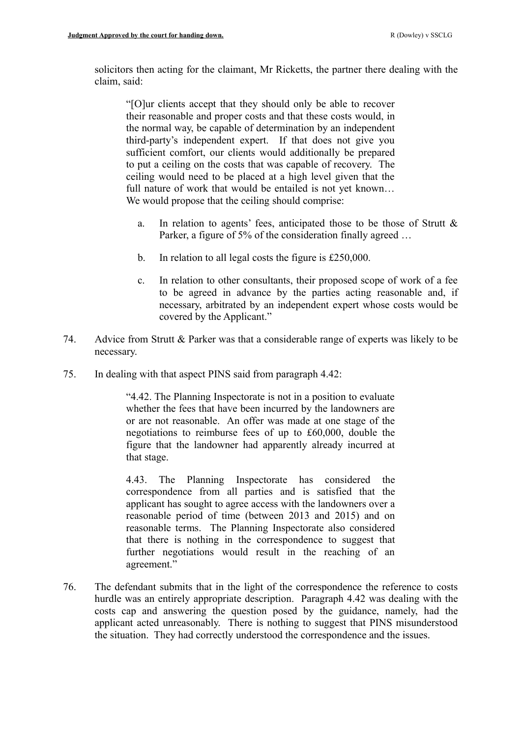solicitors then acting for the claimant, Mr Ricketts, the partner there dealing with the claim, said:

"[O]ur clients accept that they should only be able to recover their reasonable and proper costs and that these costs would, in the normal way, be capable of determination by an independent third-party's independent expert. If that does not give you sufficient comfort, our clients would additionally be prepared to put a ceiling on the costs that was capable of recovery. The ceiling would need to be placed at a high level given that the full nature of work that would be entailed is not yet known... We would propose that the ceiling should comprise:

- a. In relation to agents' fees, anticipated those to be those of Strutt & Parker, a figure of 5% of the consideration finally agreed ...
- b. In relation to all legal costs the figure is £250,000.
- c. In relation to other consultants, their proposed scope of work of a fee to be agreed in advance by the parties acting reasonable and, if necessary, arbitrated by an independent expert whose costs would be covered by the Applicant."
- 74. Advice from Strutt & Parker was that a considerable range of experts was likely to be necessary.
- 75. In dealing with that aspect PINS said from paragraph 4.42:

"4.42. The Planning Inspectorate is not in a position to evaluate whether the fees that have been incurred by the landowners are or are not reasonable. An offer was made at one stage of the negotiations to reimburse fees of up to £60,000, double the figure that the landowner had apparently already incurred at that stage.

4.43. The Planning Inspectorate has considered the correspondence from all parties and is satisfied that the applicant has sought to agree access with the landowners over a reasonable period of time (between 2013 and 2015) and on reasonable terms. The Planning Inspectorate also considered that there is nothing in the correspondence to suggest that further negotiations would result in the reaching of an agreement."

76. The defendant submits that in the light of the correspondence the reference to costs hurdle was an entirely appropriate description. Paragraph 4.42 was dealing with the costs cap and answering the question posed by the guidance, namely, had the applicant acted unreasonably. There is nothing to suggest that PINS misunderstood the situation. They had correctly understood the correspondence and the issues.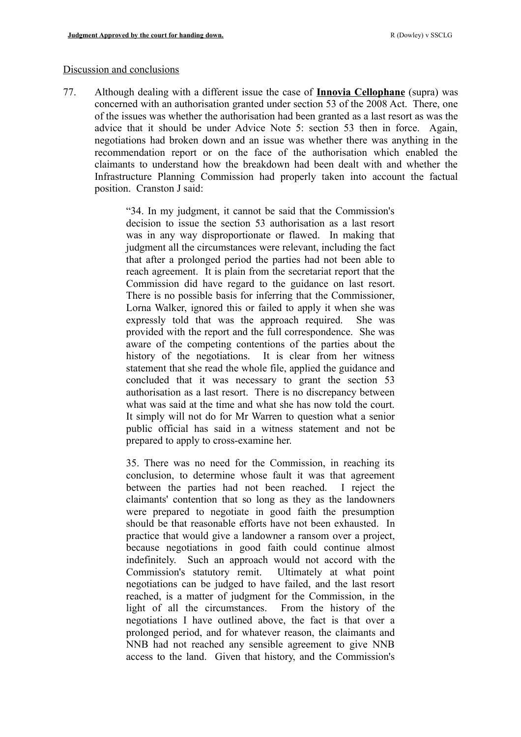#### Discussion and conclusions

77. Although dealing with a different issue the case of **Innovia Cellophane** (supra) was concerned with an authorisation granted under section 53 of the 2008 Act. There, one of the issues was whether the authorisation had been granted as a last resort as was the advice that it should be under Advice Note 5: section 53 then in force. Again, negotiations had broken down and an issue was whether there was anything in the recommendation report or on the face of the authorisation which enabled the claimants to understand how the breakdown had been dealt with and whether the Infrastructure Planning Commission had properly taken into account the factual position. Cranston J said:

> "34. In my judgment, it cannot be said that the Commission's decision to issue the section 53 authorisation as a last resort was in any way disproportionate or flawed. In making that judgment all the circumstances were relevant, including the fact that after a prolonged period the parties had not been able to reach agreement. It is plain from the secretariat report that the Commission did have regard to the guidance on last resort. There is no possible basis for inferring that the Commissioner, Lorna Walker, ignored this or failed to apply it when she was expressly told that was the approach required. She was provided with the report and the full correspondence. She was aware of the competing contentions of the parties about the history of the negotiations. It is clear from her witness statement that she read the whole file, applied the guidance and concluded that it was necessary to grant the section 53 authorisation as a last resort. There is no discrepancy between what was said at the time and what she has now told the court. It simply will not do for Mr Warren to question what a senior public official has said in a witness statement and not be prepared to apply to cross-examine her.

35. There was no need for the Commission, in reaching its conclusion, to determine whose fault it was that agreement between the parties had not been reached. I reject the claimants' contention that so long as they as the landowners were prepared to negotiate in good faith the presumption should be that reasonable efforts have not been exhausted. In practice that would give a landowner a ransom over a project, because negotiations in good faith could continue almost indefinitely. Such an approach would not accord with the Commission's statutory remit. Ultimately at what point negotiations can be judged to have failed, and the last resort reached, is a matter of judgment for the Commission, in the light of all the circumstances. From the history of the negotiations I have outlined above, the fact is that over a prolonged period, and for whatever reason, the claimants and NNB had not reached any sensible agreement to give NNB access to the land. Given that history, and the Commission's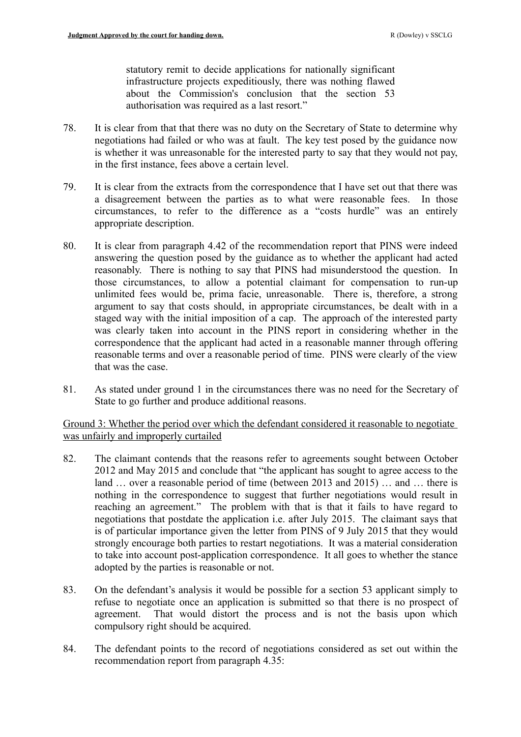statutory remit to decide applications for nationally significant infrastructure projects expeditiously, there was nothing flawed about the Commission's conclusion that the section 53 authorisation was required as a last resort."

- 78. It is clear from that that there was no duty on the Secretary of State to determine why negotiations had failed or who was at fault. The key test posed by the guidance now is whether it was unreasonable for the interested party to say that they would not pay, in the first instance, fees above a certain level.
- 79. It is clear from the extracts from the correspondence that I have set out that there was a disagreement between the parties as to what were reasonable fees. In those circumstances, to refer to the difference as a "costs hurdle" was an entirely appropriate description.
- 80. It is clear from paragraph 4.42 of the recommendation report that PINS were indeed answering the question posed by the guidance as to whether the applicant had acted reasonably. There is nothing to say that PINS had misunderstood the question. In those circumstances, to allow a potential claimant for compensation to run-up unlimited fees would be, prima facie, unreasonable. There is, therefore, a strong argument to say that costs should, in appropriate circumstances, be dealt with in a staged way with the initial imposition of a cap. The approach of the interested party was clearly taken into account in the PINS report in considering whether in the correspondence that the applicant had acted in a reasonable manner through offering reasonable terms and over a reasonable period of time. PINS were clearly of the view that was the case.
- 81. As stated under ground 1 in the circumstances there was no need for the Secretary of State to go further and produce additional reasons.

Ground 3: Whether the period over which the defendant considered it reasonable to negotiate was unfairly and improperly curtailed

- 82. The claimant contends that the reasons refer to agreements sought between October 2012 and May 2015 and conclude that "the applicant has sought to agree access to the land … over a reasonable period of time (between 2013 and 2015) … and … there is nothing in the correspondence to suggest that further negotiations would result in reaching an agreement." The problem with that is that it fails to have regard to negotiations that postdate the application i.e. after July 2015. The claimant says that is of particular importance given the letter from PINS of 9 July 2015 that they would strongly encourage both parties to restart negotiations. It was a material consideration to take into account post-application correspondence. It all goes to whether the stance adopted by the parties is reasonable or not.
- 83. On the defendant's analysis it would be possible for a section 53 applicant simply to refuse to negotiate once an application is submitted so that there is no prospect of agreement. That would distort the process and is not the basis upon which compulsory right should be acquired.
- 84. The defendant points to the record of negotiations considered as set out within the recommendation report from paragraph 4.35: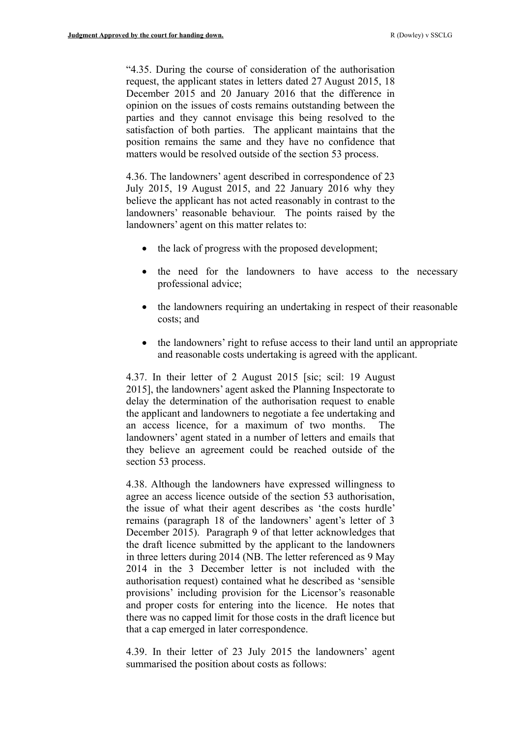"4.35. During the course of consideration of the authorisation request, the applicant states in letters dated 27 August 2015, 18 December 2015 and 20 January 2016 that the difference in opinion on the issues of costs remains outstanding between the parties and they cannot envisage this being resolved to the satisfaction of both parties. The applicant maintains that the position remains the same and they have no confidence that matters would be resolved outside of the section 53 process.

4.36. The landowners' agent described in correspondence of 23 July 2015, 19 August 2015, and 22 January 2016 why they believe the applicant has not acted reasonably in contrast to the landowners' reasonable behaviour. The points raised by the landowners' agent on this matter relates to:

- the lack of progress with the proposed development;
- the need for the landowners to have access to the necessary professional advice;
- the landowners requiring an undertaking in respect of their reasonable costs; and
- the landowners' right to refuse access to their land until an appropriate and reasonable costs undertaking is agreed with the applicant.

4.37. In their letter of 2 August 2015 [sic; scil: 19 August 2015], the landowners' agent asked the Planning Inspectorate to delay the determination of the authorisation request to enable the applicant and landowners to negotiate a fee undertaking and an access licence, for a maximum of two months. The landowners' agent stated in a number of letters and emails that they believe an agreement could be reached outside of the section 53 process.

4.38. Although the landowners have expressed willingness to agree an access licence outside of the section 53 authorisation, the issue of what their agent describes as 'the costs hurdle' remains (paragraph 18 of the landowners' agent's letter of 3 December 2015). Paragraph 9 of that letter acknowledges that the draft licence submitted by the applicant to the landowners in three letters during 2014 (NB. The letter referenced as 9 May 2014 in the 3 December letter is not included with the authorisation request) contained what he described as 'sensible provisions' including provision for the Licensor's reasonable and proper costs for entering into the licence. He notes that there was no capped limit for those costs in the draft licence but that a cap emerged in later correspondence.

4.39. In their letter of 23 July 2015 the landowners' agent summarised the position about costs as follows: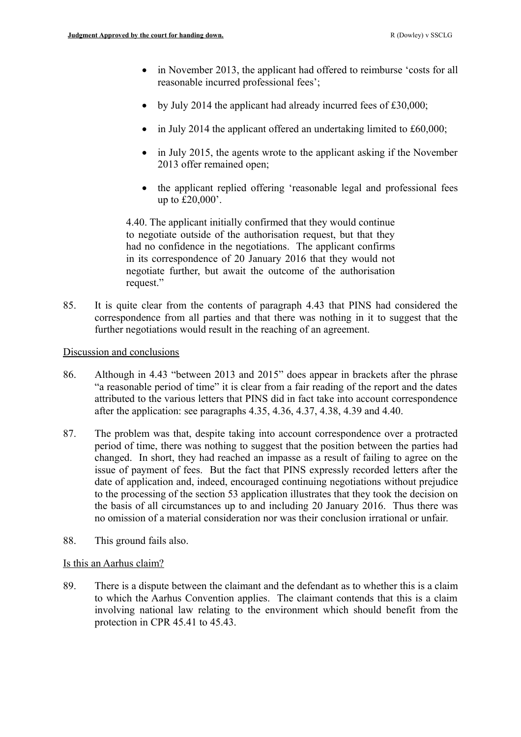- in November 2013, the applicant had offered to reimburse 'costs for all reasonable incurred professional fees';
- by July 2014 the applicant had already incurred fees of  $£30,000;$
- in July 2014 the applicant offered an undertaking limited to £60,000;
- in July 2015, the agents wrote to the applicant asking if the November 2013 offer remained open;
- the applicant replied offering 'reasonable legal and professional fees up to £20,000'.

4.40. The applicant initially confirmed that they would continue to negotiate outside of the authorisation request, but that they had no confidence in the negotiations. The applicant confirms in its correspondence of 20 January 2016 that they would not negotiate further, but await the outcome of the authorisation request."

85. It is quite clear from the contents of paragraph 4.43 that PINS had considered the correspondence from all parties and that there was nothing in it to suggest that the further negotiations would result in the reaching of an agreement.

# Discussion and conclusions

- 86. Although in 4.43 "between 2013 and 2015" does appear in brackets after the phrase "a reasonable period of time" it is clear from a fair reading of the report and the dates attributed to the various letters that PINS did in fact take into account correspondence after the application: see paragraphs 4.35, 4.36, 4.37, 4.38, 4.39 and 4.40.
- 87. The problem was that, despite taking into account correspondence over a protracted period of time, there was nothing to suggest that the position between the parties had changed. In short, they had reached an impasse as a result of failing to agree on the issue of payment of fees. But the fact that PINS expressly recorded letters after the date of application and, indeed, encouraged continuing negotiations without prejudice to the processing of the section 53 application illustrates that they took the decision on the basis of all circumstances up to and including 20 January 2016. Thus there was no omission of a material consideration nor was their conclusion irrational or unfair.
- 88. This ground fails also.

## Is this an Aarhus claim?

89. There is a dispute between the claimant and the defendant as to whether this is a claim to which the Aarhus Convention applies. The claimant contends that this is a claim involving national law relating to the environment which should benefit from the protection in CPR 45.41 to 45.43.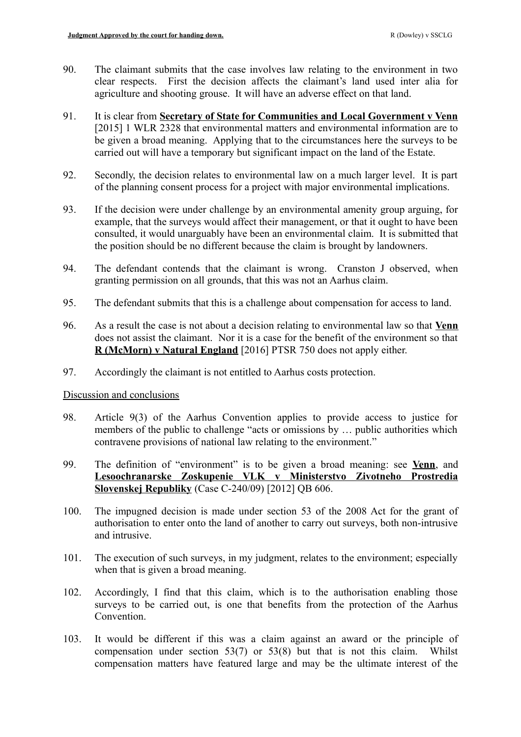- 90. The claimant submits that the case involves law relating to the environment in two clear respects. First the decision affects the claimant's land used inter alia for agriculture and shooting grouse. It will have an adverse effect on that land.
- 91. It is clear from **Secretary of State for Communities and Local Government v Venn** [2015] 1 WLR 2328 that environmental matters and environmental information are to be given a broad meaning. Applying that to the circumstances here the surveys to be carried out will have a temporary but significant impact on the land of the Estate.
- 92. Secondly, the decision relates to environmental law on a much larger level. It is part of the planning consent process for a project with major environmental implications.
- 93. If the decision were under challenge by an environmental amenity group arguing, for example, that the surveys would affect their management, or that it ought to have been consulted, it would unarguably have been an environmental claim. It is submitted that the position should be no different because the claim is brought by landowners.
- 94. The defendant contends that the claimant is wrong. Cranston J observed, when granting permission on all grounds, that this was not an Aarhus claim.
- 95. The defendant submits that this is a challenge about compensation for access to land.
- 96. As a result the case is not about a decision relating to environmental law so that **Venn** does not assist the claimant. Nor it is a case for the benefit of the environment so that **R (McMorn) v Natural England** [2016] PTSR 750 does not apply either.
- 97. Accordingly the claimant is not entitled to Aarhus costs protection.

## Discussion and conclusions

- 98. Article 9(3) of the Aarhus Convention applies to provide access to justice for members of the public to challenge "acts or omissions by … public authorities which contravene provisions of national law relating to the environment."
- 99. The definition of "environment" is to be given a broad meaning: see **Venn**, and **Lesoochranarske Zoskupenie VLK v Ministerstvo Zivotneho Prostredia Slovenskej Republiky** (Case C-240/09) [2012] QB 606.
- 100. The impugned decision is made under section 53 of the 2008 Act for the grant of authorisation to enter onto the land of another to carry out surveys, both non-intrusive and intrusive.
- 101. The execution of such surveys, in my judgment, relates to the environment; especially when that is given a broad meaning.
- 102. Accordingly, I find that this claim, which is to the authorisation enabling those surveys to be carried out, is one that benefits from the protection of the Aarhus Convention.
- 103. It would be different if this was a claim against an award or the principle of compensation under section 53(7) or 53(8) but that is not this claim. Whilst compensation matters have featured large and may be the ultimate interest of the